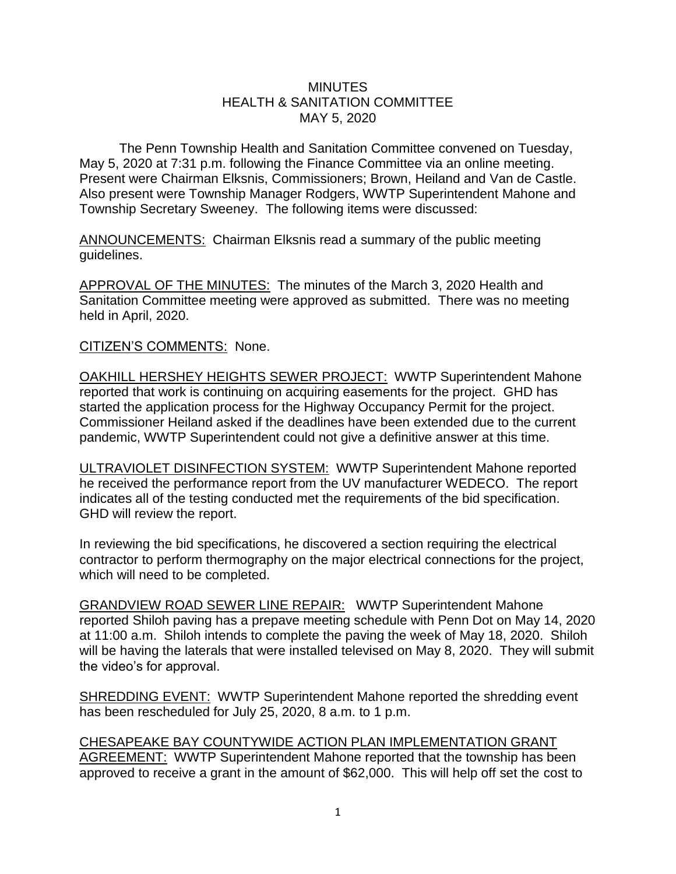## **MINUTES** HEALTH & SANITATION COMMITTEE MAY 5, 2020

The Penn Township Health and Sanitation Committee convened on Tuesday, May 5, 2020 at 7:31 p.m. following the Finance Committee via an online meeting. Present were Chairman Elksnis, Commissioners; Brown, Heiland and Van de Castle. Also present were Township Manager Rodgers, WWTP Superintendent Mahone and Township Secretary Sweeney. The following items were discussed:

ANNOUNCEMENTS: Chairman Elksnis read a summary of the public meeting guidelines.

APPROVAL OF THE MINUTES: The minutes of the March 3, 2020 Health and Sanitation Committee meeting were approved as submitted. There was no meeting held in April, 2020.

CITIZEN'S COMMENTS: None.

OAKHILL HERSHEY HEIGHTS SEWER PROJECT: WWTP Superintendent Mahone reported that work is continuing on acquiring easements for the project. GHD has started the application process for the Highway Occupancy Permit for the project. Commissioner Heiland asked if the deadlines have been extended due to the current pandemic, WWTP Superintendent could not give a definitive answer at this time.

ULTRAVIOLET DISINFECTION SYSTEM: WWTP Superintendent Mahone reported he received the performance report from the UV manufacturer WEDECO. The report indicates all of the testing conducted met the requirements of the bid specification. GHD will review the report.

In reviewing the bid specifications, he discovered a section requiring the electrical contractor to perform thermography on the major electrical connections for the project, which will need to be completed.

GRANDVIEW ROAD SEWER LINE REPAIR: WWTP Superintendent Mahone reported Shiloh paving has a prepave meeting schedule with Penn Dot on May 14, 2020 at 11:00 a.m. Shiloh intends to complete the paving the week of May 18, 2020. Shiloh will be having the laterals that were installed televised on May 8, 2020. They will submit the video's for approval.

SHREDDING EVENT: WWTP Superintendent Mahone reported the shredding event has been rescheduled for July 25, 2020, 8 a.m. to 1 p.m.

CHESAPEAKE BAY COUNTYWIDE ACTION PLAN IMPLEMENTATION GRANT AGREEMENT: WWTP Superintendent Mahone reported that the township has been approved to receive a grant in the amount of \$62,000. This will help off set the cost to